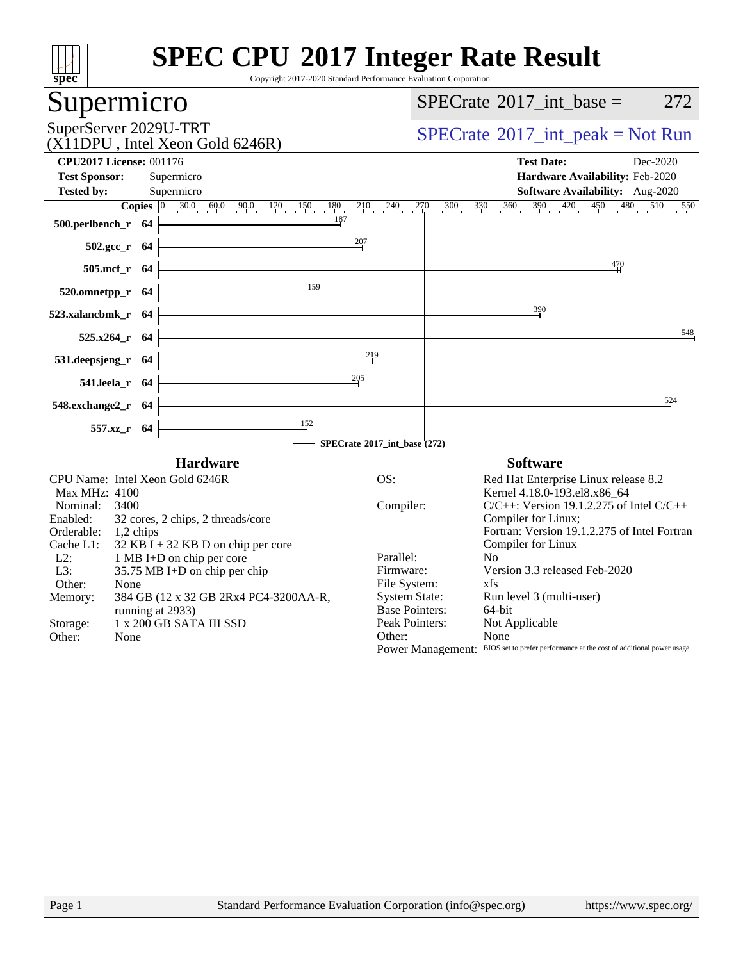| $\overline{\text{spec}^*}$                                                                                                                                                                                                                                                                                                                                                                                                        | <b>SPEC CPU®2017 Integer Rate Result</b><br>Copyright 2017-2020 Standard Performance Evaluation Corporation                                                                                                                                                                                                                                                                                                                                                                                                                                                                                                                                                                                                                                                                                       |
|-----------------------------------------------------------------------------------------------------------------------------------------------------------------------------------------------------------------------------------------------------------------------------------------------------------------------------------------------------------------------------------------------------------------------------------|---------------------------------------------------------------------------------------------------------------------------------------------------------------------------------------------------------------------------------------------------------------------------------------------------------------------------------------------------------------------------------------------------------------------------------------------------------------------------------------------------------------------------------------------------------------------------------------------------------------------------------------------------------------------------------------------------------------------------------------------------------------------------------------------------|
| Supermicro                                                                                                                                                                                                                                                                                                                                                                                                                        | 272<br>$SPECrate^{\circledast}2017\_int\_base =$                                                                                                                                                                                                                                                                                                                                                                                                                                                                                                                                                                                                                                                                                                                                                  |
| SuperServer 2029U-TRT<br>(X11DPU, Intel Xeon Gold 6246R)                                                                                                                                                                                                                                                                                                                                                                          | $SPECrate^{\circledast}2017\_int\_peak = Not Run$                                                                                                                                                                                                                                                                                                                                                                                                                                                                                                                                                                                                                                                                                                                                                 |
| <b>CPU2017 License: 001176</b>                                                                                                                                                                                                                                                                                                                                                                                                    | <b>Test Date:</b><br>Dec-2020                                                                                                                                                                                                                                                                                                                                                                                                                                                                                                                                                                                                                                                                                                                                                                     |
| <b>Test Sponsor:</b><br>Supermicro<br>Supermicro<br><b>Tested by:</b>                                                                                                                                                                                                                                                                                                                                                             | Hardware Availability: Feb-2020<br><b>Software Availability:</b> Aug-2020                                                                                                                                                                                                                                                                                                                                                                                                                                                                                                                                                                                                                                                                                                                         |
|                                                                                                                                                                                                                                                                                                                                                                                                                                   | <b>Copies</b> $\begin{bmatrix} 0 & 30.0 & 60.0 & 90.0 & 120 & 150 & 180 & 210 & 240 & 270 & 300 & 330 & 360 & 390 & 420 & 450 & 480 & 510 & 550 \end{bmatrix}$                                                                                                                                                                                                                                                                                                                                                                                                                                                                                                                                                                                                                                    |
| $500.$ perlbench_r 64                                                                                                                                                                                                                                                                                                                                                                                                             |                                                                                                                                                                                                                                                                                                                                                                                                                                                                                                                                                                                                                                                                                                                                                                                                   |
| 207<br>$502.\text{gcc}_r$ 64                                                                                                                                                                                                                                                                                                                                                                                                      |                                                                                                                                                                                                                                                                                                                                                                                                                                                                                                                                                                                                                                                                                                                                                                                                   |
| <u> 1989 - Johann Barn, mars ar breist fan de Amerikaanske kommunent fan de Amerikaanske kommunent fan de Amerika</u><br>505.mcf_r 64                                                                                                                                                                                                                                                                                             | 470                                                                                                                                                                                                                                                                                                                                                                                                                                                                                                                                                                                                                                                                                                                                                                                               |
| $\frac{159}{2}$<br>$520.0$ mnetpp_r 64                                                                                                                                                                                                                                                                                                                                                                                            |                                                                                                                                                                                                                                                                                                                                                                                                                                                                                                                                                                                                                                                                                                                                                                                                   |
| <u> 1980 - Johann Barn, amerikansk politiker (</u><br>$523.xalanchmk_r$ 64                                                                                                                                                                                                                                                                                                                                                        | 390                                                                                                                                                                                                                                                                                                                                                                                                                                                                                                                                                                                                                                                                                                                                                                                               |
| <u> 1980 - Johann Barbara, martxa alemaniar a</u><br>$525.x264$ r 64                                                                                                                                                                                                                                                                                                                                                              | 548                                                                                                                                                                                                                                                                                                                                                                                                                                                                                                                                                                                                                                                                                                                                                                                               |
| <u> 1989 - Johann Barn, mars and de Branch Barn, mars and de Branch Barn, mars and de Branch Barn, mars and de Br</u><br>531. deepsjeng_r $64$ $\vdash$                                                                                                                                                                                                                                                                           | 219                                                                                                                                                                                                                                                                                                                                                                                                                                                                                                                                                                                                                                                                                                                                                                                               |
| 205<br>541.leela_r $64$                                                                                                                                                                                                                                                                                                                                                                                                           |                                                                                                                                                                                                                                                                                                                                                                                                                                                                                                                                                                                                                                                                                                                                                                                                   |
| <u> 1989 - Johann Barn, mars ann an t-Amhain Aonaich an t-Aonaich an t-Aonaich an t-Aonaich an t-Aonaich an t-Aon</u><br>$548$ .exchange2_r $64$                                                                                                                                                                                                                                                                                  | 524                                                                                                                                                                                                                                                                                                                                                                                                                                                                                                                                                                                                                                                                                                                                                                                               |
| $\frac{152}{152}$<br>557.xz_r 64<br>SPECrate®2017_int_base (272)                                                                                                                                                                                                                                                                                                                                                                  |                                                                                                                                                                                                                                                                                                                                                                                                                                                                                                                                                                                                                                                                                                                                                                                                   |
| <b>Hardware</b>                                                                                                                                                                                                                                                                                                                                                                                                                   | <b>Software</b>                                                                                                                                                                                                                                                                                                                                                                                                                                                                                                                                                                                                                                                                                                                                                                                   |
| CPU Name: Intel Xeon Gold 6246R<br>Max MHz: 4100<br>Nominal: 3400<br>32 cores, 2 chips, 2 threads/core<br>Enabled:<br>Orderable: 1,2 chips<br>Cache L1:<br>$32$ KB I + 32 KB D on chip per core<br>$L2$ :<br>1 MB I+D on chip per core<br>L3:<br>35.75 MB I+D on chip per chip<br>Other:<br>None<br>384 GB (12 x 32 GB 2Rx4 PC4-3200AA-R,<br>Memory:<br>running at 2933)<br>1 x 200 GB SATA III SSD<br>Storage:<br>Other:<br>None | OS:<br>Red Hat Enterprise Linux release 8.2<br>Kernel 4.18.0-193.el8.x86_64<br>Compiler:<br>$C/C++$ : Version 19.1.2.275 of Intel $C/C++$<br>Compiler for Linux;<br>Fortran: Version 19.1.2.275 of Intel Fortran<br>Compiler for Linux<br>No<br>Parallel:<br>Version 3.3 released Feb-2020<br>Firmware:<br>File System:<br>xfs and the set of the set of the set of the set of the set of the set of the set of the set of the set of the set of the set of the set of the set of the set of the set of the set of the set of the set of the set of the s<br><b>System State:</b><br>Run level 3 (multi-user)<br><b>Base Pointers:</b><br>64-bit<br>Peak Pointers:<br>Not Applicable<br>Other:<br>None<br>Power Management: BIOS set to prefer performance at the cost of additional power usage. |
|                                                                                                                                                                                                                                                                                                                                                                                                                                   |                                                                                                                                                                                                                                                                                                                                                                                                                                                                                                                                                                                                                                                                                                                                                                                                   |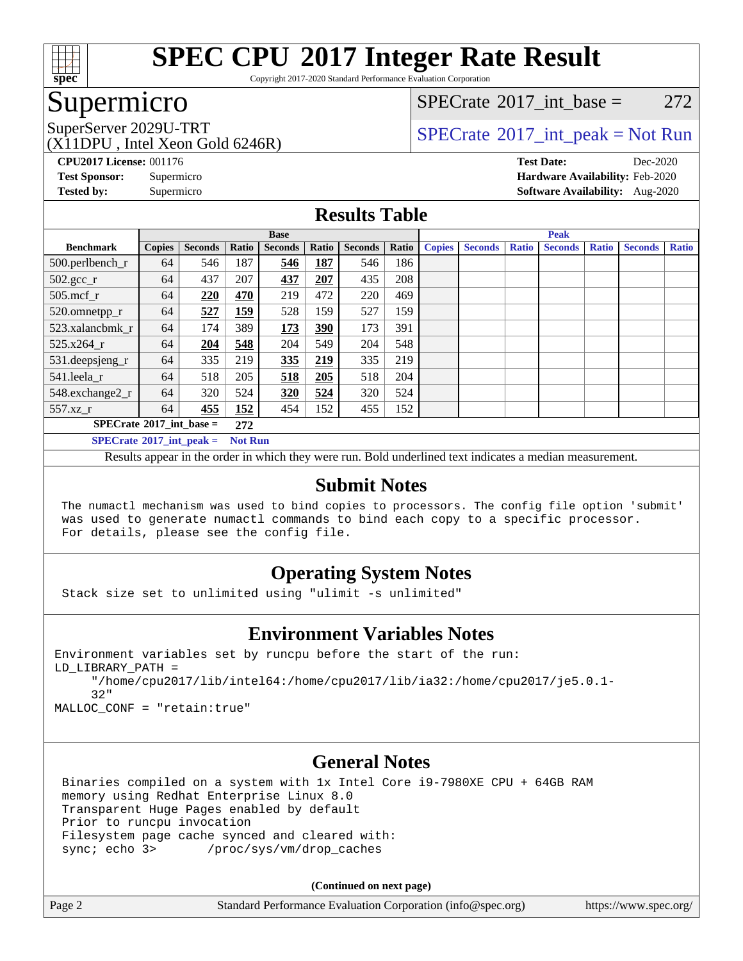

Copyright 2017-2020 Standard Performance Evaluation Corporation

## Supermicro

[SPECrate](http://www.spec.org/auto/cpu2017/Docs/result-fields.html#SPECrate2017intbase)®2017 int\_base =  $272$ 

(X11DPU , Intel Xeon Gold 6246R)

SuperServer 2029U-TRT  $SPECrate^{\circ}2017$  $SPECrate^{\circ}2017$ \_int\_peak = Not Run

**[CPU2017 License:](http://www.spec.org/auto/cpu2017/Docs/result-fields.html#CPU2017License)** 001176 **[Test Date:](http://www.spec.org/auto/cpu2017/Docs/result-fields.html#TestDate)** Dec-2020 **[Test Sponsor:](http://www.spec.org/auto/cpu2017/Docs/result-fields.html#TestSponsor)** Supermicro **[Hardware Availability:](http://www.spec.org/auto/cpu2017/Docs/result-fields.html#HardwareAvailability)** Feb-2020 **[Tested by:](http://www.spec.org/auto/cpu2017/Docs/result-fields.html#Testedby)** Supermicro **[Software Availability:](http://www.spec.org/auto/cpu2017/Docs/result-fields.html#SoftwareAvailability)** Aug-2020

#### **[Results Table](http://www.spec.org/auto/cpu2017/Docs/result-fields.html#ResultsTable)**

|                                                     | <b>Base</b>   |                |       |                | <b>Peak</b> |                |       |               |                |              |                |              |                |              |
|-----------------------------------------------------|---------------|----------------|-------|----------------|-------------|----------------|-------|---------------|----------------|--------------|----------------|--------------|----------------|--------------|
| <b>Benchmark</b>                                    | <b>Copies</b> | <b>Seconds</b> | Ratio | <b>Seconds</b> | Ratio       | <b>Seconds</b> | Ratio | <b>Copies</b> | <b>Seconds</b> | <b>Ratio</b> | <b>Seconds</b> | <b>Ratio</b> | <b>Seconds</b> | <b>Ratio</b> |
| 500.perlbench_r                                     | 64            | 546            | 187   | 546            | 187         | 546            | 186   |               |                |              |                |              |                |              |
| $502.\text{gcc}$ _r                                 | 64            | 437            | 207   | 437            | 207         | 435            | 208   |               |                |              |                |              |                |              |
| $505$ .mcf r                                        | 64            | 220            | 470   | 219            | 472         | 220            | 469   |               |                |              |                |              |                |              |
| 520.omnetpp_r                                       | 64            | 527            | 159   | 528            | 159         | 527            | 159   |               |                |              |                |              |                |              |
| 523.xalancbmk r                                     | 64            | 174            | 389   | 173            | 390         | 173            | 391   |               |                |              |                |              |                |              |
| 525.x264 r                                          | 64            | 204            | 548   | 204            | 549         | 204            | 548   |               |                |              |                |              |                |              |
| $531.$ deepsjeng $_r$                               | 64            | 335            | 219   | 335            | 219         | 335            | 219   |               |                |              |                |              |                |              |
| 541.leela r                                         | 64            | 518            | 205   | 518            | 205         | 518            | 204   |               |                |              |                |              |                |              |
| 548.exchange2_r                                     | 64            | 320            | 524   | 320            | 524         | 320            | 524   |               |                |              |                |              |                |              |
| 557.xz_r                                            | 64            | 455            | 152   | 454            | 152         | 455            | 152   |               |                |              |                |              |                |              |
| $SPECrate^{\circ}2017\_int\_base =$<br>272          |               |                |       |                |             |                |       |               |                |              |                |              |                |              |
| $SPECrate^{\circ}2017$ int peak =<br><b>Not Run</b> |               |                |       |                |             |                |       |               |                |              |                |              |                |              |

Results appear in the [order in which they were run](http://www.spec.org/auto/cpu2017/Docs/result-fields.html#RunOrder). Bold underlined text [indicates a median measurement](http://www.spec.org/auto/cpu2017/Docs/result-fields.html#Median).

#### **[Submit Notes](http://www.spec.org/auto/cpu2017/Docs/result-fields.html#SubmitNotes)**

 The numactl mechanism was used to bind copies to processors. The config file option 'submit' was used to generate numactl commands to bind each copy to a specific processor. For details, please see the config file.

#### **[Operating System Notes](http://www.spec.org/auto/cpu2017/Docs/result-fields.html#OperatingSystemNotes)**

Stack size set to unlimited using "ulimit -s unlimited"

#### **[Environment Variables Notes](http://www.spec.org/auto/cpu2017/Docs/result-fields.html#EnvironmentVariablesNotes)**

```
Environment variables set by runcpu before the start of the run:
LD_LIBRARY_PATH =
      "/home/cpu2017/lib/intel64:/home/cpu2017/lib/ia32:/home/cpu2017/je5.0.1-
      32"
```
MALLOC\_CONF = "retain:true"

#### **[General Notes](http://www.spec.org/auto/cpu2017/Docs/result-fields.html#GeneralNotes)**

 Binaries compiled on a system with 1x Intel Core i9-7980XE CPU + 64GB RAM memory using Redhat Enterprise Linux 8.0 Transparent Huge Pages enabled by default Prior to runcpu invocation Filesystem page cache synced and cleared with: sync; echo 3> /proc/sys/vm/drop\_caches

**(Continued on next page)**

| Page 2 | Standard Performance Evaluation Corporation (info@spec.org) | https://www.spec.org/ |
|--------|-------------------------------------------------------------|-----------------------|
|--------|-------------------------------------------------------------|-----------------------|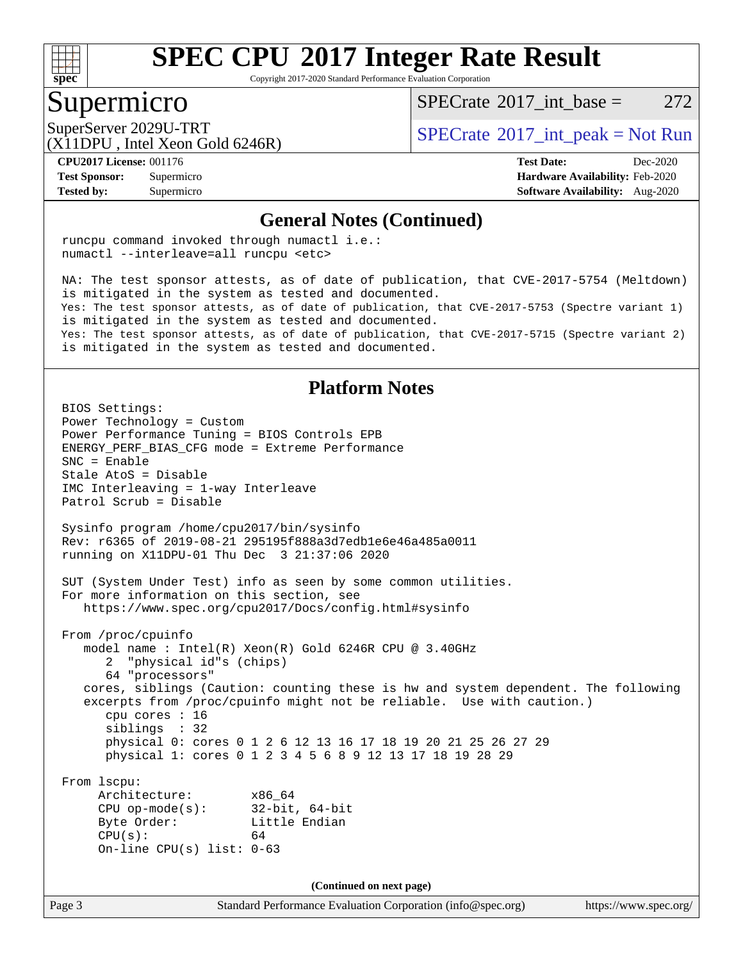

Copyright 2017-2020 Standard Performance Evaluation Corporation

#### Supermicro

 $SPECTate^{\circ}2017$  int base = 272

(X11DPU , Intel Xeon Gold 6246R)

SuperServer 2029U-TRT  $SPECrate^{\circ}2017$  $SPECrate^{\circ}2017$ \_int\_peak = Not Run

**[Tested by:](http://www.spec.org/auto/cpu2017/Docs/result-fields.html#Testedby)** Supermicro **[Software Availability:](http://www.spec.org/auto/cpu2017/Docs/result-fields.html#SoftwareAvailability)** Aug-2020

**[CPU2017 License:](http://www.spec.org/auto/cpu2017/Docs/result-fields.html#CPU2017License)** 001176 **[Test Date:](http://www.spec.org/auto/cpu2017/Docs/result-fields.html#TestDate)** Dec-2020 **[Test Sponsor:](http://www.spec.org/auto/cpu2017/Docs/result-fields.html#TestSponsor)** Supermicro **[Hardware Availability:](http://www.spec.org/auto/cpu2017/Docs/result-fields.html#HardwareAvailability)** Feb-2020

#### **[General Notes \(Continued\)](http://www.spec.org/auto/cpu2017/Docs/result-fields.html#GeneralNotes)**

 runcpu command invoked through numactl i.e.: numactl --interleave=all runcpu <etc>

 NA: The test sponsor attests, as of date of publication, that CVE-2017-5754 (Meltdown) is mitigated in the system as tested and documented. Yes: The test sponsor attests, as of date of publication, that CVE-2017-5753 (Spectre variant 1) is mitigated in the system as tested and documented. Yes: The test sponsor attests, as of date of publication, that CVE-2017-5715 (Spectre variant 2) is mitigated in the system as tested and documented.

#### **[Platform Notes](http://www.spec.org/auto/cpu2017/Docs/result-fields.html#PlatformNotes)**

Page 3 Standard Performance Evaluation Corporation [\(info@spec.org\)](mailto:info@spec.org) <https://www.spec.org/> BIOS Settings: Power Technology = Custom Power Performance Tuning = BIOS Controls EPB ENERGY\_PERF\_BIAS\_CFG mode = Extreme Performance SNC = Enable Stale AtoS = Disable IMC Interleaving = 1-way Interleave Patrol Scrub = Disable Sysinfo program /home/cpu2017/bin/sysinfo Rev: r6365 of 2019-08-21 295195f888a3d7edb1e6e46a485a0011 running on X11DPU-01 Thu Dec 3 21:37:06 2020 SUT (System Under Test) info as seen by some common utilities. For more information on this section, see <https://www.spec.org/cpu2017/Docs/config.html#sysinfo> From /proc/cpuinfo model name : Intel(R) Xeon(R) Gold 6246R CPU @ 3.40GHz 2 "physical id"s (chips) 64 "processors" cores, siblings (Caution: counting these is hw and system dependent. The following excerpts from /proc/cpuinfo might not be reliable. Use with caution.) cpu cores : 16 siblings : 32 physical 0: cores 0 1 2 6 12 13 16 17 18 19 20 21 25 26 27 29 physical 1: cores 0 1 2 3 4 5 6 8 9 12 13 17 18 19 28 29 From lscpu: Architecture: x86\_64 CPU op-mode(s): 32-bit, 64-bit Byte Order: Little Endian  $CPU(s):$  64 On-line CPU(s) list: 0-63 **(Continued on next page)**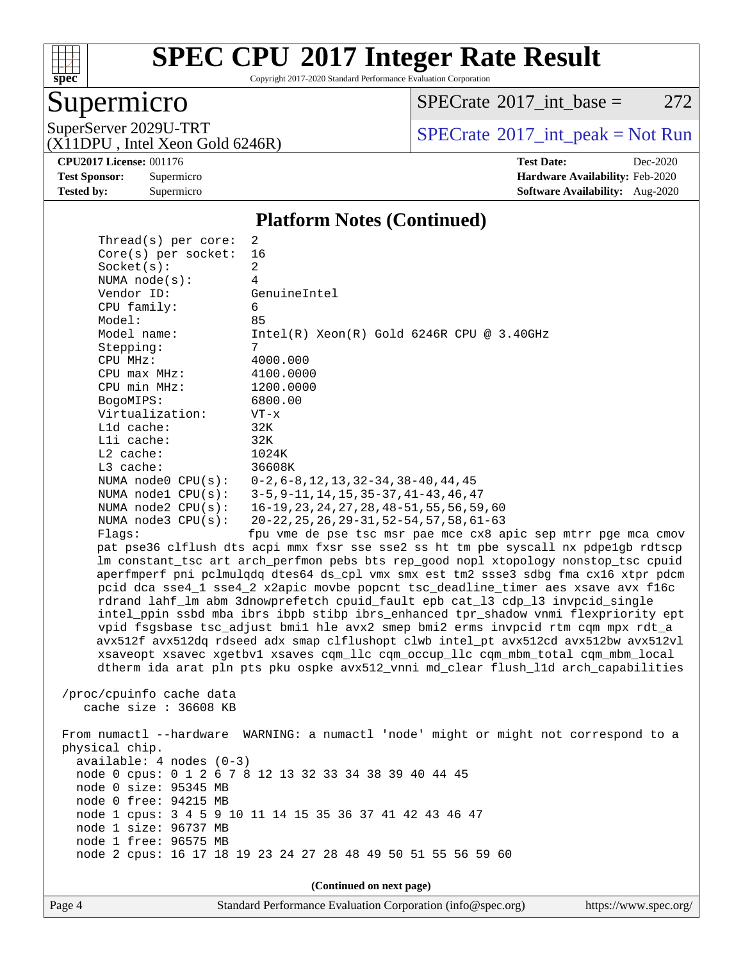

Copyright 2017-2020 Standard Performance Evaluation Corporation

## Supermicro

 $SPECTate@2017_int\_base = 272$ 

(X11DPU , Intel Xeon Gold 6246R)

 $Thmend(a)$  per core:

SuperServer 2029U-TRT <br>(X11DPU Intel Xeon Gold 6246R) [SPECrate](http://www.spec.org/auto/cpu2017/Docs/result-fields.html#SPECrate2017intpeak)®[2017\\_int\\_peak = N](http://www.spec.org/auto/cpu2017/Docs/result-fields.html#SPECrate2017intpeak)ot Run

**[Tested by:](http://www.spec.org/auto/cpu2017/Docs/result-fields.html#Testedby)** Supermicro **Supermicro [Software Availability:](http://www.spec.org/auto/cpu2017/Docs/result-fields.html#SoftwareAvailability)** Aug-2020

**[CPU2017 License:](http://www.spec.org/auto/cpu2017/Docs/result-fields.html#CPU2017License)** 001176 **[Test Date:](http://www.spec.org/auto/cpu2017/Docs/result-fields.html#TestDate)** Dec-2020 **[Test Sponsor:](http://www.spec.org/auto/cpu2017/Docs/result-fields.html#TestSponsor)** Supermicro **[Hardware Availability:](http://www.spec.org/auto/cpu2017/Docs/result-fields.html#HardwareAvailability)** Feb-2020

#### **[Platform Notes \(Continued\)](http://www.spec.org/auto/cpu2017/Docs/result-fields.html#PlatformNotes)**

| iliteau s) het core.       |                                                                                      |
|----------------------------|--------------------------------------------------------------------------------------|
| Core(s) per socket:        | 16                                                                                   |
| Socket(s):                 | $\overline{a}$                                                                       |
| NUMA $node(s):$            | 4                                                                                    |
| Vendor ID:                 | GenuineIntel                                                                         |
| CPU family:                | 6                                                                                    |
| Model:                     | 85                                                                                   |
| Model name:                | $Intel(R) Xeon(R) Gold 6246R CPU @ 3.40GHz$                                          |
| Stepping:                  | 7                                                                                    |
| CPU MHz:                   | 4000.000                                                                             |
| $CPU$ max $MHz$ :          | 4100.0000                                                                            |
| CPU min MHz:               |                                                                                      |
|                            | 1200.0000                                                                            |
| BogoMIPS:                  | 6800.00                                                                              |
| Virtualization:            | $VT - x$                                                                             |
| L1d cache:                 | 32K                                                                                  |
| Lli cache:                 | 32K                                                                                  |
| $L2$ cache:                | 1024K                                                                                |
| L3 cache:                  | 36608K                                                                               |
| NUMA $node0$ $CPU(s):$     | $0-2$ , $6-8$ , $12$ , $13$ , $32-34$ , $38-40$ , $44$ , $45$                        |
| NUMA nodel CPU(s):         | $3-5, 9-11, 14, 15, 35-37, 41-43, 46, 47$                                            |
| NUMA $node2$ $CPU(s)$ :    | 16-19, 23, 24, 27, 28, 48-51, 55, 56, 59, 60                                         |
| NUMA $node3$ $CPU(s):$     | $20 - 22$ , $25$ , $26$ , $29 - 31$ , $52 - 54$ , $57$ , $58$ , $61 - 63$            |
| Flags:                     | fpu vme de pse tsc msr pae mce cx8 apic sep mtrr pge mca cmov                        |
|                            | pat pse36 clflush dts acpi mmx fxsr sse sse2 ss ht tm pbe syscall nx pdpe1gb rdtscp  |
|                            | lm constant_tsc art arch_perfmon pebs bts rep_good nopl xtopology nonstop_tsc cpuid  |
|                            | aperfmperf pni pclmulqdq dtes64 ds_cpl vmx smx est tm2 ssse3 sdbg fma cx16 xtpr pdcm |
|                            | pcid dca sse4_1 sse4_2 x2apic movbe popcnt tsc_deadline_timer aes xsave avx f16c     |
|                            | rdrand lahf_lm abm 3dnowprefetch cpuid_fault epb cat_13 cdp_13 invpcid_single        |
|                            | intel_ppin ssbd mba ibrs ibpb stibp ibrs_enhanced tpr_shadow vnmi flexpriority ept   |
|                            | vpid fsgsbase tsc_adjust bmil hle avx2 smep bmi2 erms invpcid rtm cqm mpx rdt_a      |
|                            | avx512f avx512dq rdseed adx smap clflushopt clwb intel_pt avx512cd avx512bw avx512vl |
|                            | xsaveopt xsavec xgetbvl xsaves cqm_llc cqm_occup_llc cqm_mbm_total cqm_mbm_local     |
|                            | dtherm ida arat pln pts pku ospke avx512_vnni md_clear flush_lld arch_capabilities   |
|                            |                                                                                      |
|                            |                                                                                      |
| /proc/cpuinfo cache data   |                                                                                      |
| cache size $: 36608$ KB    |                                                                                      |
|                            |                                                                                      |
|                            | From numactl --hardware WARNING: a numactl 'node' might or might not correspond to a |
| physical chip.             |                                                                                      |
| $available: 4 nodes (0-3)$ |                                                                                      |
|                            | node 0 cpus: 0 1 2 6 7 8 12 13 32 33 34 38 39 40 44 45                               |
| node 0 size: 95345 MB      |                                                                                      |
| node 0 free: 94215 MB      |                                                                                      |
|                            | node 1 cpus: 3 4 5 9 10 11 14 15 35 36 37 41 42 43 46 47                             |
| node 1 size: 96737 MB      |                                                                                      |
| node 1 free: 96575 MB      |                                                                                      |
|                            | node 2 cpus: 16 17 18 19 23 24 27 28 48 49 50 51 55 56 59 60                         |
|                            |                                                                                      |
|                            | (Continued on next page)                                                             |
|                            |                                                                                      |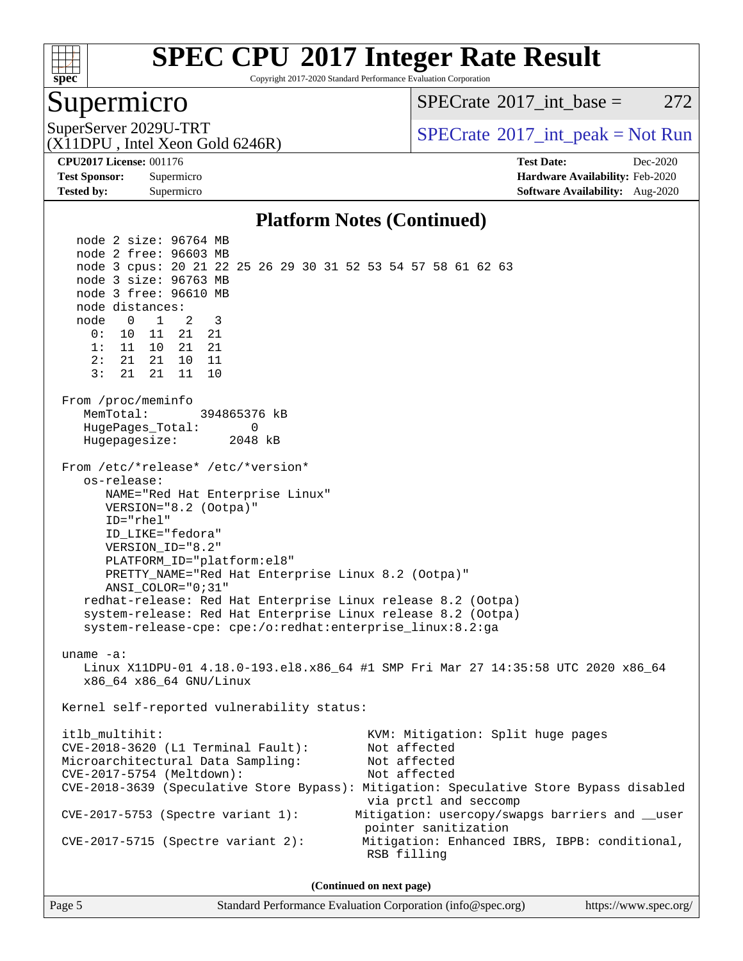

Copyright 2017-2020 Standard Performance Evaluation Corporation

#### Supermicro

 $SPECTate^{\circ}2017$  int base = 272

(X11DPU , Intel Xeon Gold 6246R)

SuperServer 2029U-TRT  $SPECrate^{\circ}2017$  $SPECrate^{\circ}2017$ \_int\_peak = Not Run

**[Tested by:](http://www.spec.org/auto/cpu2017/Docs/result-fields.html#Testedby)** Supermicro **[Software Availability:](http://www.spec.org/auto/cpu2017/Docs/result-fields.html#SoftwareAvailability)** Aug-2020

**[CPU2017 License:](http://www.spec.org/auto/cpu2017/Docs/result-fields.html#CPU2017License)** 001176 **[Test Date:](http://www.spec.org/auto/cpu2017/Docs/result-fields.html#TestDate)** Dec-2020 **[Test Sponsor:](http://www.spec.org/auto/cpu2017/Docs/result-fields.html#TestSponsor)** Supermicro **[Hardware Availability:](http://www.spec.org/auto/cpu2017/Docs/result-fields.html#HardwareAvailability)** Feb-2020

#### **[Platform Notes \(Continued\)](http://www.spec.org/auto/cpu2017/Docs/result-fields.html#PlatformNotes)**

 node 2 size: 96764 MB node 2 free: 96603 MB node 3 cpus: 20 21 22 25 26 29 30 31 52 53 54 57 58 61 62 63 node 3 size: 96763 MB node 3 free: 96610 MB node distances: node 0 1 2 3 0: 10 11 21 21 1: 11 10 21 21 2: 21 21 10 11 3: 21 21 11 10 From /proc/meminfo MemTotal: 394865376 kB HugePages\_Total: 0 Hugepagesize: 2048 kB From /etc/\*release\* /etc/\*version\* os-release: NAME="Red Hat Enterprise Linux" VERSION="8.2 (Ootpa)" ID="rhel" ID\_LIKE="fedora" VERSION\_ID="8.2" PLATFORM\_ID="platform:el8" PRETTY\_NAME="Red Hat Enterprise Linux 8.2 (Ootpa)" ANSI\_COLOR="0;31" redhat-release: Red Hat Enterprise Linux release 8.2 (Ootpa) system-release: Red Hat Enterprise Linux release 8.2 (Ootpa) system-release-cpe: cpe:/o:redhat:enterprise\_linux:8.2:ga uname -a: Linux X11DPU-01 4.18.0-193.el8.x86\_64 #1 SMP Fri Mar 27 14:35:58 UTC 2020 x86\_64 x86\_64 x86\_64 GNU/Linux Kernel self-reported vulnerability status: itlb\_multihit: KVM: Mitigation: Split huge pages<br>CVE-2018-3620 (L1 Terminal Fault): Not affected  $CVE-2018-3620$  (L1 Terminal Fault): Microarchitectural Data Sampling: Not affected CVE-2017-5754 (Meltdown): Not affected CVE-2018-3639 (Speculative Store Bypass): Mitigation: Speculative Store Bypass disabled via prctl and seccomp CVE-2017-5753 (Spectre variant 1): Mitigation: usercopy/swapgs barriers and \_\_user pointer sanitization CVE-2017-5715 (Spectre variant 2): Mitigation: Enhanced IBRS, IBPB: conditional, RSB filling **(Continued on next page)**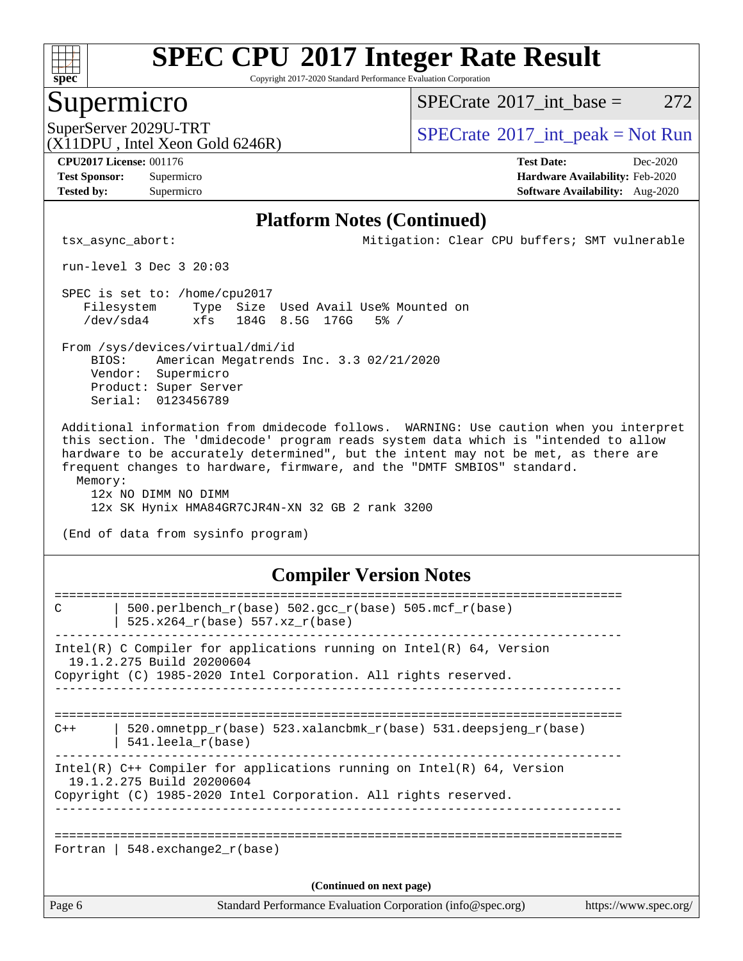

Copyright 2017-2020 Standard Performance Evaluation Corporation

#### Supermicro

 $SPECTate$ <sup>®</sup>[2017\\_int\\_base =](http://www.spec.org/auto/cpu2017/Docs/result-fields.html#SPECrate2017intbase) 272

(X11DPU , Intel Xeon Gold 6246R)

SuperServer 2029U-TRT  $SPECrate^{\circ}2017$  $SPECrate^{\circ}2017$ \_int\_peak = Not Run

**[Tested by:](http://www.spec.org/auto/cpu2017/Docs/result-fields.html#Testedby)** Supermicro **[Software Availability:](http://www.spec.org/auto/cpu2017/Docs/result-fields.html#SoftwareAvailability)** Aug-2020

**[CPU2017 License:](http://www.spec.org/auto/cpu2017/Docs/result-fields.html#CPU2017License)** 001176 **[Test Date:](http://www.spec.org/auto/cpu2017/Docs/result-fields.html#TestDate)** Dec-2020 **[Test Sponsor:](http://www.spec.org/auto/cpu2017/Docs/result-fields.html#TestSponsor)** Supermicro **[Hardware Availability:](http://www.spec.org/auto/cpu2017/Docs/result-fields.html#HardwareAvailability)** Feb-2020

#### **[Platform Notes \(Continued\)](http://www.spec.org/auto/cpu2017/Docs/result-fields.html#PlatformNotes)**

tsx\_async\_abort: Mitigation: Clear CPU buffers; SMT vulnerable

run-level 3 Dec 3 20:03

 SPEC is set to: /home/cpu2017 Filesystem Type Size Used Avail Use% Mounted on /dev/sda4 xfs 184G 8.5G 176G 5% /

 From /sys/devices/virtual/dmi/id BIOS: American Megatrends Inc. 3.3 02/21/2020 Vendor: Supermicro Product: Super Server Serial: 0123456789

 Additional information from dmidecode follows. WARNING: Use caution when you interpret this section. The 'dmidecode' program reads system data which is "intended to allow hardware to be accurately determined", but the intent may not be met, as there are frequent changes to hardware, firmware, and the "DMTF SMBIOS" standard. Memory:

 12x NO DIMM NO DIMM 12x SK Hynix HMA84GR7CJR4N-XN 32 GB 2 rank 3200

(End of data from sysinfo program)

#### **[Compiler Version Notes](http://www.spec.org/auto/cpu2017/Docs/result-fields.html#CompilerVersionNotes)**

| Page 6                   | Standard Performance Evaluation Corporation (info@spec.org)                                                                                                              | https://www.spec.org/ |  |  |
|--------------------------|--------------------------------------------------------------------------------------------------------------------------------------------------------------------------|-----------------------|--|--|
| (Continued on next page) |                                                                                                                                                                          |                       |  |  |
|                          | Fortran   548.exchange2 $r(base)$                                                                                                                                        |                       |  |  |
|                          | Intel(R) $C++$ Compiler for applications running on Intel(R) 64, Version<br>19.1.2.275 Build 20200604<br>Copyright (C) 1985-2020 Intel Corporation. All rights reserved. |                       |  |  |
| $C++$                    | 520.omnetpp $r(base)$ 523.xalancbmk $r(base)$ 531.deepsjeng $r(base)$<br>$541.$ leela $r(base)$                                                                          |                       |  |  |
|                          | Intel(R) C Compiler for applications running on $Intel(R) 64$ , Version<br>19.1.2.275 Build 20200604<br>Copyright (C) 1985-2020 Intel Corporation. All rights reserved.  |                       |  |  |
| C                        | 500.perlbench $r(base)$ 502.qcc $r(base)$ 505.mcf $r(base)$<br>525.x264 r(base) 557.xz r(base)                                                                           |                       |  |  |
|                          |                                                                                                                                                                          |                       |  |  |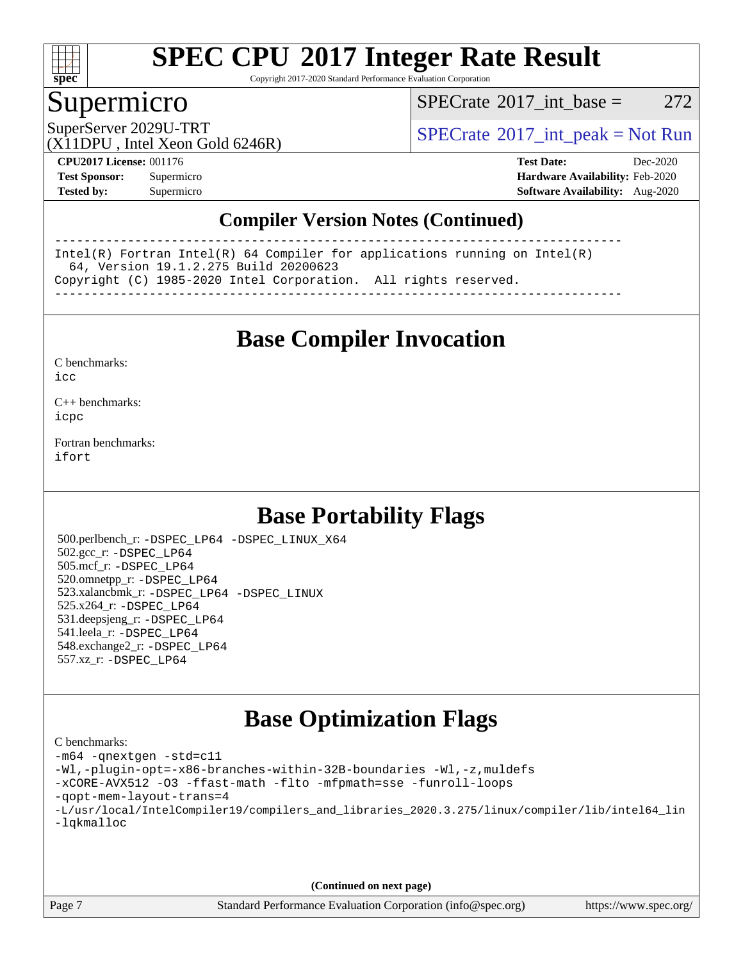

Copyright 2017-2020 Standard Performance Evaluation Corporation

#### Supermicro

 $SPECTate@2017\_int\_base = 272$ 

SuperServer 2029U-TRT  $SPECrate^{\circ}2017$  $SPECrate^{\circ}2017$ \_int\_peak = Not Run

(X11DPU , Intel Xeon Gold 6246R)

**[CPU2017 License:](http://www.spec.org/auto/cpu2017/Docs/result-fields.html#CPU2017License)** 001176 **[Test Date:](http://www.spec.org/auto/cpu2017/Docs/result-fields.html#TestDate)** Dec-2020 **[Test Sponsor:](http://www.spec.org/auto/cpu2017/Docs/result-fields.html#TestSponsor)** Supermicro **[Hardware Availability:](http://www.spec.org/auto/cpu2017/Docs/result-fields.html#HardwareAvailability)** Feb-2020 **[Tested by:](http://www.spec.org/auto/cpu2017/Docs/result-fields.html#Testedby)** Supermicro **[Software Availability:](http://www.spec.org/auto/cpu2017/Docs/result-fields.html#SoftwareAvailability)** Aug-2020

#### **[Compiler Version Notes \(Continued\)](http://www.spec.org/auto/cpu2017/Docs/result-fields.html#CompilerVersionNotes)**

------------------------------------------------------------------------------ Intel(R) Fortran Intel(R) 64 Compiler for applications running on Intel(R) 64, Version 19.1.2.275 Build 20200623 Copyright (C) 1985-2020 Intel Corporation. All rights reserved. ------------------------------------------------------------------------------

**[Base Compiler Invocation](http://www.spec.org/auto/cpu2017/Docs/result-fields.html#BaseCompilerInvocation)**

[C benchmarks](http://www.spec.org/auto/cpu2017/Docs/result-fields.html#Cbenchmarks):  $i$ cc

[C++ benchmarks:](http://www.spec.org/auto/cpu2017/Docs/result-fields.html#CXXbenchmarks) [icpc](http://www.spec.org/cpu2017/results/res2020q4/cpu2017-20201207-24560.flags.html#user_CXXbase_intel_icpc_c510b6838c7f56d33e37e94d029a35b4a7bccf4766a728ee175e80a419847e808290a9b78be685c44ab727ea267ec2f070ec5dc83b407c0218cded6866a35d07)

[Fortran benchmarks](http://www.spec.org/auto/cpu2017/Docs/result-fields.html#Fortranbenchmarks): [ifort](http://www.spec.org/cpu2017/results/res2020q4/cpu2017-20201207-24560.flags.html#user_FCbase_intel_ifort_8111460550e3ca792625aed983ce982f94888b8b503583aa7ba2b8303487b4d8a21a13e7191a45c5fd58ff318f48f9492884d4413fa793fd88dd292cad7027ca)

## **[Base Portability Flags](http://www.spec.org/auto/cpu2017/Docs/result-fields.html#BasePortabilityFlags)**

 500.perlbench\_r: [-DSPEC\\_LP64](http://www.spec.org/cpu2017/results/res2020q4/cpu2017-20201207-24560.flags.html#b500.perlbench_r_basePORTABILITY_DSPEC_LP64) [-DSPEC\\_LINUX\\_X64](http://www.spec.org/cpu2017/results/res2020q4/cpu2017-20201207-24560.flags.html#b500.perlbench_r_baseCPORTABILITY_DSPEC_LINUX_X64) 502.gcc\_r: [-DSPEC\\_LP64](http://www.spec.org/cpu2017/results/res2020q4/cpu2017-20201207-24560.flags.html#suite_basePORTABILITY502_gcc_r_DSPEC_LP64) 505.mcf\_r: [-DSPEC\\_LP64](http://www.spec.org/cpu2017/results/res2020q4/cpu2017-20201207-24560.flags.html#suite_basePORTABILITY505_mcf_r_DSPEC_LP64) 520.omnetpp\_r: [-DSPEC\\_LP64](http://www.spec.org/cpu2017/results/res2020q4/cpu2017-20201207-24560.flags.html#suite_basePORTABILITY520_omnetpp_r_DSPEC_LP64) 523.xalancbmk\_r: [-DSPEC\\_LP64](http://www.spec.org/cpu2017/results/res2020q4/cpu2017-20201207-24560.flags.html#suite_basePORTABILITY523_xalancbmk_r_DSPEC_LP64) [-DSPEC\\_LINUX](http://www.spec.org/cpu2017/results/res2020q4/cpu2017-20201207-24560.flags.html#b523.xalancbmk_r_baseCXXPORTABILITY_DSPEC_LINUX) 525.x264\_r: [-DSPEC\\_LP64](http://www.spec.org/cpu2017/results/res2020q4/cpu2017-20201207-24560.flags.html#suite_basePORTABILITY525_x264_r_DSPEC_LP64) 531.deepsjeng\_r: [-DSPEC\\_LP64](http://www.spec.org/cpu2017/results/res2020q4/cpu2017-20201207-24560.flags.html#suite_basePORTABILITY531_deepsjeng_r_DSPEC_LP64) 541.leela\_r: [-DSPEC\\_LP64](http://www.spec.org/cpu2017/results/res2020q4/cpu2017-20201207-24560.flags.html#suite_basePORTABILITY541_leela_r_DSPEC_LP64) 548.exchange2\_r: [-DSPEC\\_LP64](http://www.spec.org/cpu2017/results/res2020q4/cpu2017-20201207-24560.flags.html#suite_basePORTABILITY548_exchange2_r_DSPEC_LP64) 557.xz\_r: [-DSPEC\\_LP64](http://www.spec.org/cpu2017/results/res2020q4/cpu2017-20201207-24560.flags.html#suite_basePORTABILITY557_xz_r_DSPEC_LP64)

## **[Base Optimization Flags](http://www.spec.org/auto/cpu2017/Docs/result-fields.html#BaseOptimizationFlags)**

[C benchmarks](http://www.spec.org/auto/cpu2017/Docs/result-fields.html#Cbenchmarks): [-m64](http://www.spec.org/cpu2017/results/res2020q4/cpu2017-20201207-24560.flags.html#user_CCbase_m64-icc) [-qnextgen](http://www.spec.org/cpu2017/results/res2020q4/cpu2017-20201207-24560.flags.html#user_CCbase_f-qnextgen) [-std=c11](http://www.spec.org/cpu2017/results/res2020q4/cpu2017-20201207-24560.flags.html#user_CCbase_std-icc-std_0e1c27790398a4642dfca32ffe6c27b5796f9c2d2676156f2e42c9c44eaad0c049b1cdb667a270c34d979996257aeb8fc440bfb01818dbc9357bd9d174cb8524) [-Wl,-plugin-opt=-x86-branches-within-32B-boundaries](http://www.spec.org/cpu2017/results/res2020q4/cpu2017-20201207-24560.flags.html#user_CCbase_f-x86-branches-within-32B-boundaries_0098b4e4317ae60947b7b728078a624952a08ac37a3c797dfb4ffeb399e0c61a9dd0f2f44ce917e9361fb9076ccb15e7824594512dd315205382d84209e912f3) [-Wl,-z,muldefs](http://www.spec.org/cpu2017/results/res2020q4/cpu2017-20201207-24560.flags.html#user_CCbase_link_force_multiple1_b4cbdb97b34bdee9ceefcfe54f4c8ea74255f0b02a4b23e853cdb0e18eb4525ac79b5a88067c842dd0ee6996c24547a27a4b99331201badda8798ef8a743f577) [-xCORE-AVX512](http://www.spec.org/cpu2017/results/res2020q4/cpu2017-20201207-24560.flags.html#user_CCbase_f-xCORE-AVX512) [-O3](http://www.spec.org/cpu2017/results/res2020q4/cpu2017-20201207-24560.flags.html#user_CCbase_f-O3) [-ffast-math](http://www.spec.org/cpu2017/results/res2020q4/cpu2017-20201207-24560.flags.html#user_CCbase_f-ffast-math) [-flto](http://www.spec.org/cpu2017/results/res2020q4/cpu2017-20201207-24560.flags.html#user_CCbase_f-flto) [-mfpmath=sse](http://www.spec.org/cpu2017/results/res2020q4/cpu2017-20201207-24560.flags.html#user_CCbase_f-mfpmath_70eb8fac26bde974f8ab713bc9086c5621c0b8d2f6c86f38af0bd7062540daf19db5f3a066d8c6684be05d84c9b6322eb3b5be6619d967835195b93d6c02afa1) [-funroll-loops](http://www.spec.org/cpu2017/results/res2020q4/cpu2017-20201207-24560.flags.html#user_CCbase_f-funroll-loops) [-qopt-mem-layout-trans=4](http://www.spec.org/cpu2017/results/res2020q4/cpu2017-20201207-24560.flags.html#user_CCbase_f-qopt-mem-layout-trans_fa39e755916c150a61361b7846f310bcdf6f04e385ef281cadf3647acec3f0ae266d1a1d22d972a7087a248fd4e6ca390a3634700869573d231a252c784941a8) [-L/usr/local/IntelCompiler19/compilers\\_and\\_libraries\\_2020.3.275/linux/compiler/lib/intel64\\_lin](http://www.spec.org/cpu2017/results/res2020q4/cpu2017-20201207-24560.flags.html#user_CCbase_linkpath_6eb3b1b8be403820338b5b82e7a1c217a861a8962ac718a6253be1483b50620487664a39a847caf560d84a6b8bab7cca33d9f414525a12ede1e9473db34a3d08) [-lqkmalloc](http://www.spec.org/cpu2017/results/res2020q4/cpu2017-20201207-24560.flags.html#user_CCbase_qkmalloc_link_lib_79a818439969f771c6bc311cfd333c00fc099dad35c030f5aab9dda831713d2015205805422f83de8875488a2991c0a156aaa600e1f9138f8fc37004abc96dc5)

**(Continued on next page)**

Page 7 Standard Performance Evaluation Corporation [\(info@spec.org\)](mailto:info@spec.org) <https://www.spec.org/>